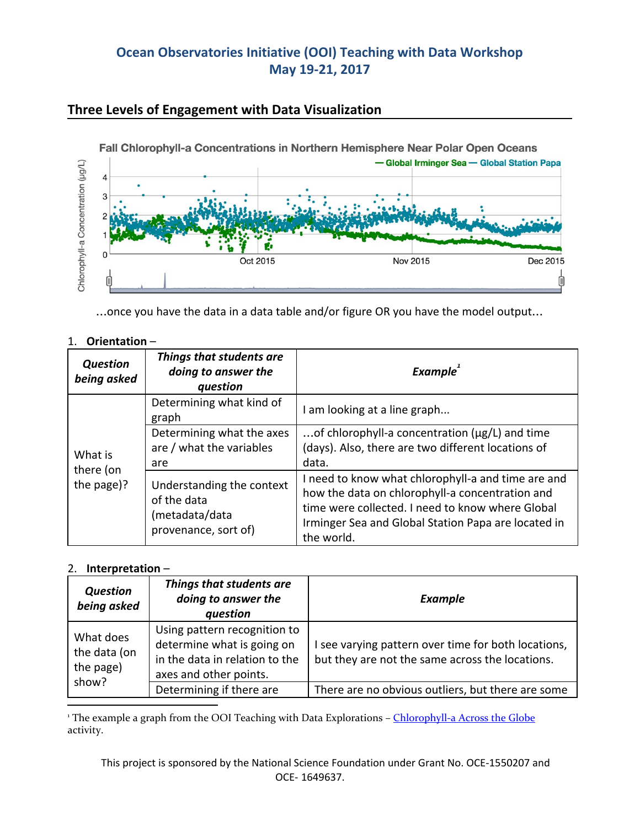# **Ocean Observatories Initiative (OOI) Teaching with Data Workshop May 19-21, 2017**



### **Three Levels of Engagement with Data Visualization**

…once you have the data in a data table and/or figure OR you have the model output…

| Orientation- |
|--------------|
|              |

| <b>Question</b><br>being asked     | Things that students are<br>doing to answer the<br>question                        | <b>Example</b>                                                                                                                                                                                                                 |
|------------------------------------|------------------------------------------------------------------------------------|--------------------------------------------------------------------------------------------------------------------------------------------------------------------------------------------------------------------------------|
| What is<br>there (on<br>the page)? | Determining what kind of<br>graph                                                  | I am looking at a line graph                                                                                                                                                                                                   |
|                                    | Determining what the axes<br>are / what the variables<br>are                       | of chlorophyll-a concentration ( $\mu$ g/L) and time<br>(days). Also, there are two different locations of<br>data.                                                                                                            |
|                                    | Understanding the context<br>of the data<br>(metadata/data<br>provenance, sort of) | I need to know what chlorophyll-a and time are and<br>how the data on chlorophyll-a concentration and<br>time were collected. I need to know where Global<br>Irminger Sea and Global Station Papa are located in<br>the world. |

#### 2. **Interpretation** –

| <b>Question</b><br>being asked                  | Things that students are<br>doing to answer the<br>question                                                            | <b>Example</b>                                                                                         |
|-------------------------------------------------|------------------------------------------------------------------------------------------------------------------------|--------------------------------------------------------------------------------------------------------|
| What does<br>the data (on<br>the page)<br>show? | Using pattern recognition to<br>determine what is going on<br>in the data in relation to the<br>axes and other points. | I see varying pattern over time for both locations,<br>but they are not the same across the locations. |
|                                                 | Determining if there are                                                                                               | There are no obvious outliers, but there are some                                                      |

<sup>1</sup> The example a graph from the OOI Teaching with Data Explorations - [Chlorophyll-a](http://explorations.visualocean.net/productivity/activity3.php) Across the Globe activity.

This project is sponsored by the National Science Foundation under Grant No. OCE-1550207 and OCE- 1649637.